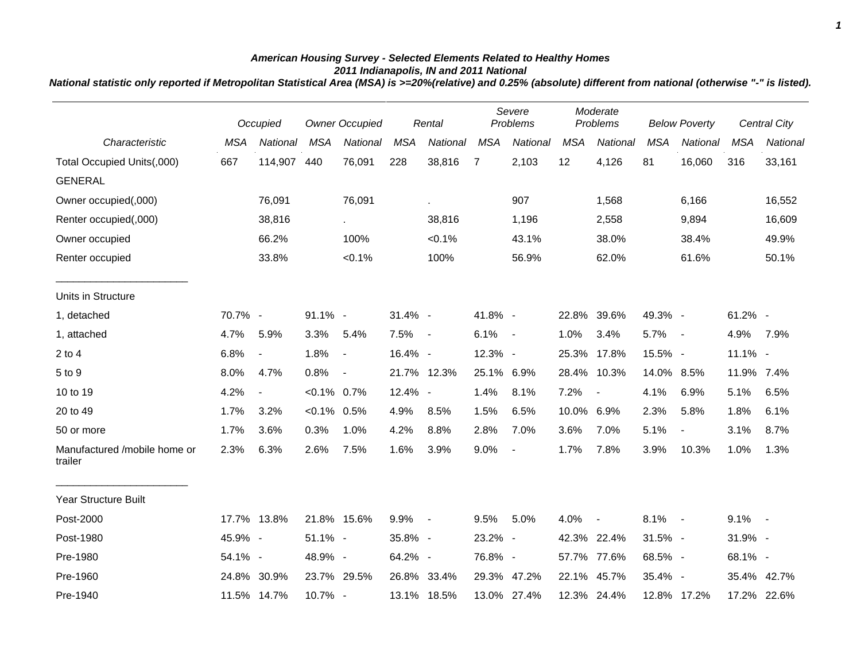## *American Housing Survey - Selected Elements Related to Healthy Homes 2011 Indianapolis, IN and 2011 National*

*National statistic only reported if Metropolitan Statistical Area (MSA) is >=20%(relative) and 0.25% (absolute) different from national (otherwise "-" is listed).*

|                                         |            | Occupied       | <b>Owner Occupied</b> |             |            | Rental      |                | Severe<br>Problems |            | Moderate<br>Problems     |            | <b>Below Poverty</b>     |            | <b>Central City</b> |
|-----------------------------------------|------------|----------------|-----------------------|-------------|------------|-------------|----------------|--------------------|------------|--------------------------|------------|--------------------------|------------|---------------------|
| Characteristic                          | <b>MSA</b> | National       | <b>MSA</b>            | National    | <b>MSA</b> | National    | <b>MSA</b>     | National           | <b>MSA</b> | National                 | <b>MSA</b> | National                 | <b>MSA</b> | <b>National</b>     |
| Total Occupied Units(,000)              | 667        | 114,907        | 440                   | 76,091      | 228        | 38,816      | $\overline{7}$ | 2,103              | 12         | 4,126                    | 81         | 16,060                   | 316        | 33,161              |
| <b>GENERAL</b>                          |            |                |                       |             |            |             |                |                    |            |                          |            |                          |            |                     |
| Owner occupied(,000)                    |            | 76,091         |                       | 76,091      |            |             |                | 907                |            | 1,568                    |            | 6,166                    |            | 16,552              |
| Renter occupied(,000)                   |            | 38,816         |                       | $\sim$      |            | 38,816      |                | 1,196              |            | 2,558                    |            | 9,894                    |            | 16,609              |
| Owner occupied                          |            | 66.2%          |                       | 100%        |            | $< 0.1\%$   |                | 43.1%              |            | 38.0%                    |            | 38.4%                    |            | 49.9%               |
| Renter occupied                         |            | 33.8%          |                       | $< 0.1\%$   |            | 100%        |                | 56.9%              |            | 62.0%                    |            | 61.6%                    |            | 50.1%               |
| Units in Structure                      |            |                |                       |             |            |             |                |                    |            |                          |            |                          |            |                     |
| 1, detached                             | 70.7% -    |                | $91.1\%$ -            |             | 31.4% -    |             | 41.8% -        |                    |            | 22.8% 39.6%              | 49.3% -    |                          | 61.2% -    |                     |
| 1, attached                             | 4.7%       | 5.9%           | 3.3%                  | 5.4%        | 7.5%       | $\sim$ $-$  | 6.1%           | $\sim$ $-$         | 1.0%       | 3.4%                     | 5.7%       | $\sim$ $-$               | 4.9%       | 7.9%                |
| $2$ to $4$                              | 6.8%       | $\blacksquare$ | 1.8%                  | $\sim$      | 16.4% -    |             | 12.3% -        |                    |            | 25.3% 17.8%              | 15.5% -    |                          | 11.1% -    |                     |
| 5 to 9                                  | 8.0%       | 4.7%           | 0.8%                  | $\sim$ $-$  |            | 21.7% 12.3% | 25.1% 6.9%     |                    |            | 28.4% 10.3%              | 14.0% 8.5% |                          | 11.9% 7.4% |                     |
| 10 to 19                                | 4.2%       | $\blacksquare$ | $< 0.1\%$ 0.7%        |             | 12.4% -    |             | 1.4%           | 8.1%               | 7.2%       | $\overline{\phantom{a}}$ | 4.1%       | 6.9%                     | 5.1%       | 6.5%                |
| 20 to 49                                | 1.7%       | 3.2%           | $< 0.1\%$ 0.5%        |             | 4.9%       | 8.5%        | 1.5%           | 6.5%               | 10.0% 6.9% |                          | 2.3%       | 5.8%                     | 1.8%       | 6.1%                |
| 50 or more                              | 1.7%       | 3.6%           | 0.3%                  | 1.0%        | 4.2%       | 8.8%        | 2.8%           | 7.0%               | 3.6%       | 7.0%                     | 5.1%       | $\overline{\phantom{a}}$ | 3.1%       | 8.7%                |
| Manufactured /mobile home or<br>trailer | 2.3%       | 6.3%           | 2.6%                  | 7.5%        | 1.6%       | 3.9%        | 9.0%           | $\blacksquare$     | 1.7%       | 7.8%                     | 3.9%       | 10.3%                    | 1.0%       | 1.3%                |
| Year Structure Built                    |            |                |                       |             |            |             |                |                    |            |                          |            |                          |            |                     |
| Post-2000                               |            | 17.7% 13.8%    |                       | 21.8% 15.6% | 9.9%       | $\sim$ $-$  | 9.5%           | 5.0%               | 4.0%       | $\sim$                   | $8.1\% -$  |                          | $9.1\% -$  |                     |
| Post-1980                               | 45.9% -    |                | $51.1\%$ -            |             | 35.8% -    |             | 23.2% -        |                    |            | 42.3% 22.4%              | 31.5% -    |                          | 31.9% -    |                     |
| Pre-1980                                | 54.1% -    |                | 48.9% -               |             | 64.2% -    |             | 76.8% -        |                    |            | 57.7% 77.6%              | 68.5% -    |                          | 68.1% -    |                     |
| Pre-1960                                | 24.8%      | 30.9%          | 23.7% 29.5%           |             |            | 26.8% 33.4% | 29.3%          | 47.2%              | 22.1%      | 45.7%                    | 35.4% -    |                          |            | 35.4% 42.7%         |
| Pre-1940                                |            | 11.5% 14.7%    | 10.7% -               |             |            | 13.1% 18.5% |                | 13.0% 27.4%        |            | 12.3% 24.4%              |            | 12.8% 17.2%              |            | 17.2% 22.6%         |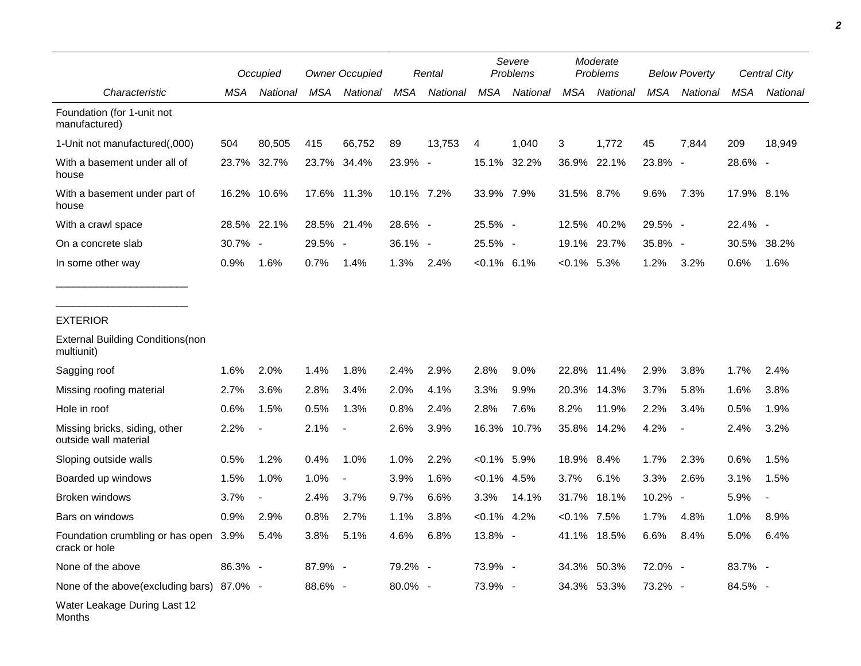|                                                        |         | Occupied                 |         | <b>Owner Occupied</b>    |            | Rental   |                | Severe<br>Problems |                | Moderate<br>Problems |            | <b>Below Poverty</b>     |            | Central City   |
|--------------------------------------------------------|---------|--------------------------|---------|--------------------------|------------|----------|----------------|--------------------|----------------|----------------------|------------|--------------------------|------------|----------------|
| Characteristic                                         | MSA     | National                 | MSA     | National                 | <b>MSA</b> | National | <b>MSA</b>     | National           | <b>MSA</b>     | National             | <b>MSA</b> | National                 | <b>MSA</b> | National       |
| Foundation (for 1-unit not<br>manufactured)            |         |                          |         |                          |            |          |                |                    |                |                      |            |                          |            |                |
| 1-Unit not manufactured(,000)                          | 504     | 80,505                   | 415     | 66,752                   | 89         | 13,753   | 4              | 1,040              | 3              | 1,772                | 45         | 7,844                    | 209        | 18,949         |
| With a basement under all of<br>house                  | 23.7%   | 32.7%                    |         | 23.7% 34.4%              | 23.9% -    |          | 15.1%          | 32.2%              |                | 36.9% 22.1%          | 23.8% -    |                          | 28.6% -    |                |
| With a basement under part of<br>house                 | 16.2%   | 10.6%                    |         | 17.6% 11.3%              | 10.1% 7.2% |          | 33.9% 7.9%     |                    | 31.5% 8.7%     |                      | 9.6%       | 7.3%                     | 17.9% 8.1% |                |
| With a crawl space                                     |         | 28.5% 22.1%              |         | 28.5% 21.4%              | 28.6% -    |          | 25.5% -        |                    | 12.5%          | 40.2%                | 29.5% -    |                          | 22.4% -    |                |
| On a concrete slab                                     | 30.7% - |                          | 29.5% - |                          | $36.1\%$ - |          | 25.5% -        |                    |                | 19.1% 23.7%          | 35.8% -    |                          |            | 30.5% 38.2%    |
| In some other way                                      | 0.9%    | 1.6%                     | 0.7%    | 1.4%                     | 1.3%       | 2.4%     | $< 0.1\%$ 6.1% |                    | $<0.1\%$ 5.3%  |                      | 1.2%       | 3.2%                     | 0.6%       | 1.6%           |
| <b>EXTERIOR</b>                                        |         |                          |         |                          |            |          |                |                    |                |                      |            |                          |            |                |
| <b>External Building Conditions (non</b><br>multiunit) |         |                          |         |                          |            |          |                |                    |                |                      |            |                          |            |                |
| Sagging roof                                           | 1.6%    | 2.0%                     | 1.4%    | 1.8%                     | 2.4%       | 2.9%     | 2.8%           | 9.0%               | 22.8%          | 11.4%                | 2.9%       | 3.8%                     | 1.7%       | 2.4%           |
| Missing roofing material                               | 2.7%    | 3.6%                     | 2.8%    | 3.4%                     | 2.0%       | 4.1%     | 3.3%           | 9.9%               | 20.3%          | 14.3%                | 3.7%       | 5.8%                     | 1.6%       | 3.8%           |
| Hole in roof                                           | 0.6%    | 1.5%                     | 0.5%    | 1.3%                     | 0.8%       | 2.4%     | 2.8%           | 7.6%               | 8.2%           | 11.9%                | 2.2%       | 3.4%                     | 0.5%       | 1.9%           |
| Missing bricks, siding, other<br>outside wall material | 2.2%    | $\blacksquare$           | 2.1%    | $\overline{\phantom{a}}$ | 2.6%       | 3.9%     | 16.3%          | 10.7%              | 35.8%          | 14.2%                | 4.2%       | $\overline{\phantom{a}}$ | 2.4%       | 3.2%           |
| Sloping outside walls                                  | 0.5%    | 1.2%                     | 0.4%    | 1.0%                     | 1.0%       | 2.2%     | $< 0.1\%$ 5.9% |                    | 18.9% 8.4%     |                      | 1.7%       | 2.3%                     | 0.6%       | 1.5%           |
| Boarded up windows                                     | 1.5%    | 1.0%                     | 1.0%    |                          | 3.9%       | 1.6%     | $< 0.1\%$ 4.5% |                    | 3.7%           | 6.1%                 | 3.3%       | 2.6%                     | 3.1%       | 1.5%           |
| Broken windows                                         | 3.7%    | $\overline{\phantom{a}}$ | 2.4%    | 3.7%                     | 9.7%       | 6.6%     | 3.3%           | 14.1%              | 31.7%          | 18.1%                | 10.2% -    |                          | 5.9%       | $\blacksquare$ |
| Bars on windows                                        | 0.9%    | 2.9%                     | 0.8%    | 2.7%                     | 1.1%       | 3.8%     | $< 0.1\%$ 4.2% |                    | $< 0.1\%$ 7.5% |                      | 1.7%       | 4.8%                     | 1.0%       | 8.9%           |
| Foundation crumbling or has open 3.9%<br>crack or hole |         | 5.4%                     | 3.8%    | 5.1%                     | 4.6%       | 6.8%     | 13.8% -        |                    |                | 41.1% 18.5%          | 6.6%       | 8.4%                     | 5.0%       | 6.4%           |
| None of the above                                      | 86.3% - |                          | 87.9% - |                          | 79.2% -    |          | 73.9% -        |                    |                | 34.3% 50.3%          | 72.0% -    |                          | 83.7% -    |                |
| None of the above(excluding bars) 87.0% -              |         |                          | 88.6% - |                          | 80.0% -    |          | 73.9% -        |                    |                | 34.3% 53.3%          | 73.2% -    |                          | 84.5% -    |                |
| Water Leakage During Last 12<br>Months                 |         |                          |         |                          |            |          |                |                    |                |                      |            |                          |            |                |

*2*

 $\overline{\phantom{0}}$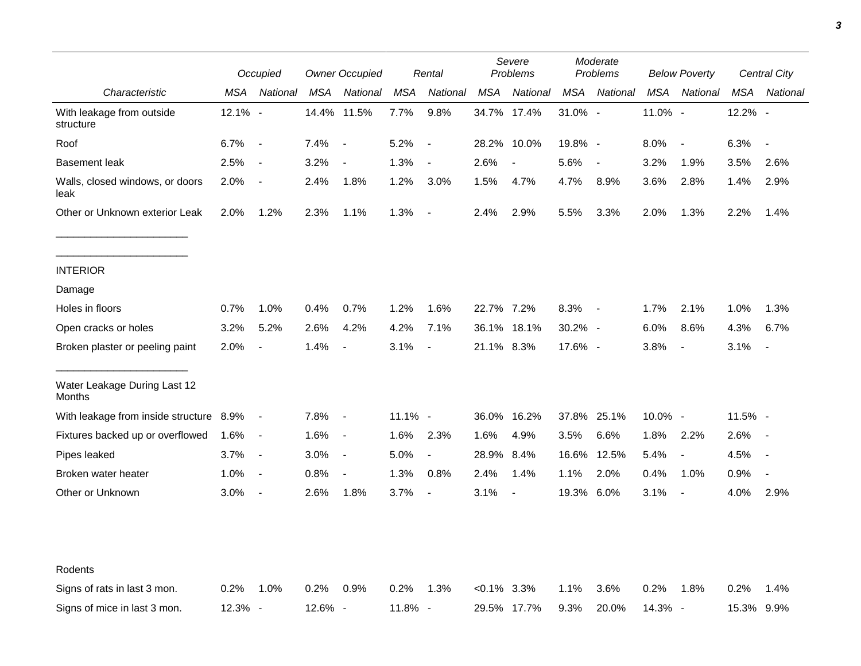|                                         | Occupied   |                          | <b>Owner Occupied</b> |                          | Rental     |                          | Severe<br>Problems |             | Moderate<br>Problems |                          | <b>Below Poverty</b> |                          | <b>Central City</b> |                          |
|-----------------------------------------|------------|--------------------------|-----------------------|--------------------------|------------|--------------------------|--------------------|-------------|----------------------|--------------------------|----------------------|--------------------------|---------------------|--------------------------|
| Characteristic                          | <b>MSA</b> | National                 | <b>MSA</b>            | National                 | <b>MSA</b> | National                 | <b>MSA</b>         | National    | <b>MSA</b>           | National                 | <b>MSA</b>           | National                 | <b>MSA</b>          | National                 |
| With leakage from outside<br>structure  | 12.1% -    |                          |                       | 14.4% 11.5%              | 7.7%       | 9.8%                     |                    | 34.7% 17.4% | 31.0% -              |                          | 11.0% -              |                          | 12.2% -             |                          |
| Roof                                    | 6.7%       | $\sim$ $-$               | 7.4%                  | $\overline{\phantom{a}}$ | 5.2%       | $\overline{\phantom{a}}$ |                    | 28.2% 10.0% | 19.8% -              |                          | 8.0%                 | $\overline{\phantom{a}}$ | 6.3%                | $\overline{\phantom{a}}$ |
| <b>Basement leak</b>                    | 2.5%       | $\blacksquare$           | 3.2%                  |                          | 1.3%       | $\blacksquare$           | 2.6%               |             | 5.6%                 | $\blacksquare$           | 3.2%                 | 1.9%                     | 3.5%                | 2.6%                     |
| Walls, closed windows, or doors<br>leak | 2.0%       | $\overline{\phantom{a}}$ | 2.4%                  | 1.8%                     | 1.2%       | 3.0%                     | 1.5%               | 4.7%        | 4.7%                 | 8.9%                     | 3.6%                 | 2.8%                     | 1.4%                | 2.9%                     |
| Other or Unknown exterior Leak          | 2.0%       | 1.2%                     | 2.3%                  | 1.1%                     | 1.3%       | $\blacksquare$           | 2.4%               | 2.9%        | 5.5%                 | 3.3%                     | 2.0%                 | 1.3%                     | 2.2%                | 1.4%                     |
| <b>INTERIOR</b>                         |            |                          |                       |                          |            |                          |                    |             |                      |                          |                      |                          |                     |                          |
| Damage                                  |            |                          |                       |                          |            |                          |                    |             |                      |                          |                      |                          |                     |                          |
| Holes in floors                         | 0.7%       | 1.0%                     | 0.4%                  | 0.7%                     | 1.2%       | 1.6%                     | 22.7% 7.2%         |             | 8.3%                 | $\overline{\phantom{a}}$ | 1.7%                 | 2.1%                     | 1.0%                | 1.3%                     |
| Open cracks or holes                    | 3.2%       | 5.2%                     | 2.6%                  | 4.2%                     | 4.2%       | 7.1%                     | 36.1%              | 18.1%       | 30.2% -              |                          | 6.0%                 | 8.6%                     | 4.3%                | 6.7%                     |
| Broken plaster or peeling paint         | 2.0%       | $\overline{\phantom{a}}$ | 1.4%                  | $\overline{\phantom{a}}$ | 3.1%       | $\blacksquare$           | 21.1% 8.3%         |             | 17.6% -              |                          | 3.8%                 | $\sim$                   | 3.1%                |                          |
| Water Leakage During Last 12<br>Months  |            |                          |                       |                          |            |                          |                    |             |                      |                          |                      |                          |                     |                          |
| With leakage from inside structure 8.9% |            | $\sim$ $-$               | 7.8%                  | $\blacksquare$           | $11.1\%$ - |                          | 36.0%              | 16.2%       |                      | 37.8% 25.1%              | 10.0% -              |                          | 11.5% -             |                          |
| Fixtures backed up or overflowed        | 1.6%       | $\overline{\phantom{a}}$ | 1.6%                  | $\blacksquare$           | 1.6%       | 2.3%                     | 1.6%               | 4.9%        | 3.5%                 | 6.6%                     | 1.8%                 | 2.2%                     | 2.6%                | $\overline{\phantom{a}}$ |
| Pipes leaked                            | 3.7%       | $\overline{\phantom{a}}$ | 3.0%                  | $\blacksquare$           | 5.0%       | $\blacksquare$           | 28.9%              | 8.4%        | 16.6%                | 12.5%                    | 5.4%                 | $\overline{\phantom{a}}$ | 4.5%                | $\overline{\phantom{a}}$ |
| Broken water heater                     | 1.0%       | $\blacksquare$           | 0.8%                  | $\overline{\phantom{a}}$ | 1.3%       | 0.8%                     | 2.4%               | 1.4%        | 1.1%                 | 2.0%                     | 0.4%                 | 1.0%                     | 0.9%                |                          |
| Other or Unknown                        | 3.0%       | $\blacksquare$           | 2.6%                  | 1.8%                     | 3.7%       | $\overline{\phantom{a}}$ | 3.1%               |             | 19.3%                | 6.0%                     | 3.1%                 | $\overline{\phantom{a}}$ | 4.0%                | 2.9%                     |
|                                         |            |                          |                       |                          |            |                          |                    |             |                      |                          |                      |                          |                     |                          |
| Rodents                                 |            |                          |                       |                          |            |                          |                    |             |                      |                          |                      |                          |                     |                          |
| Signs of rats in last 3 mon.            | 0.2%       | 1.0%                     | 0.2%                  | 0.9%                     | 0.2%       | 1.3%                     | $< 0.1\%$ 3.3%     |             | 1.1%                 | 3.6%                     | 0.2%                 | 1.8%                     | 0.2%                | 1.4%                     |
| Signs of mice in last 3 mon.            | 12.3% -    |                          | 12.6% -               |                          | 11.8% -    |                          |                    | 29.5% 17.7% | 9.3%                 | 20.0%                    | 14.3% -              |                          | 15.3% 9.9%          |                          |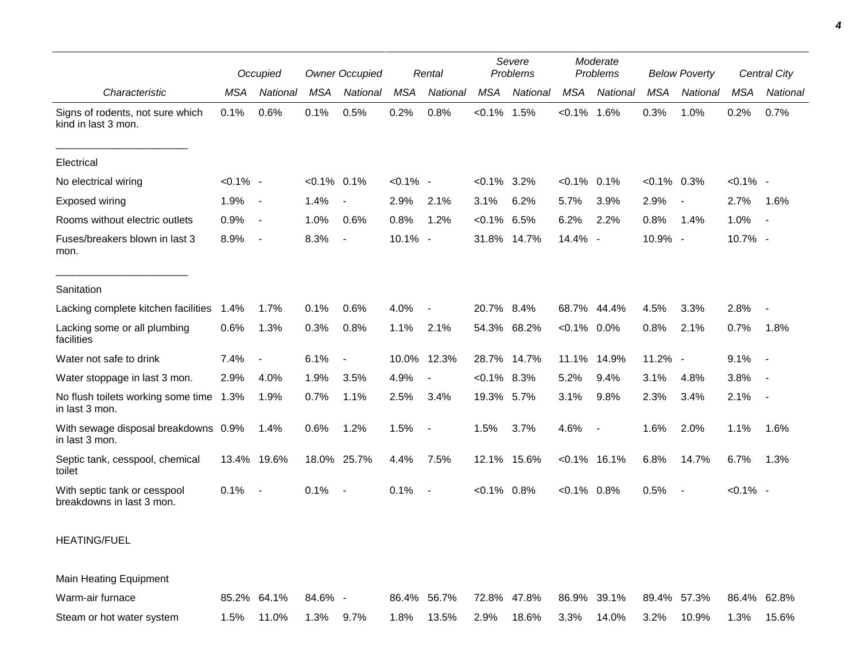|                                                           | Occupied    |                          | <b>Owner Occupied</b> |                          | Rental      |                          | Severe<br>Problems |             | Moderate<br>Problems |                          | <b>Below Poverty</b> |                          | <b>Central City</b> |                          |
|-----------------------------------------------------------|-------------|--------------------------|-----------------------|--------------------------|-------------|--------------------------|--------------------|-------------|----------------------|--------------------------|----------------------|--------------------------|---------------------|--------------------------|
| Characteristic                                            | MSA         | National                 | <b>MSA</b>            | National                 | <b>MSA</b>  | National                 | <b>MSA</b>         | National    | <b>MSA</b>           | National                 | <b>MSA</b>           | National                 | <b>MSA</b>          | National                 |
| Signs of rodents, not sure which<br>kind in last 3 mon.   | 0.1%        | 0.6%                     | 0.1%                  | 0.5%                     | 0.2%        | 0.8%                     | $< 0.1\%$ 1.5%     |             | $< 0.1\%$ 1.6%       |                          | 0.3%                 | 1.0%                     | 0.2%                | 0.7%                     |
| Electrical                                                |             |                          |                       |                          |             |                          |                    |             |                      |                          |                      |                          |                     |                          |
| No electrical wiring                                      | $< 0.1\%$ - |                          | $< 0.1\%$ 0.1%        |                          | $< 0.1\%$ - |                          | $<0.1\%$ 3.2%      |             | $< 0.1\%$            | 0.1%                     | $< 0.1\%$ 0.3%       |                          | $< 0.1\%$ -         |                          |
| Exposed wiring                                            | 1.9%        | $\sim$ $-$               | 1.4%                  | $\overline{\phantom{a}}$ | 2.9%        | 2.1%                     | 3.1%               | 6.2%        | 5.7%                 | 3.9%                     | 2.9%                 | $\overline{\phantom{a}}$ | 2.7%                | 1.6%                     |
| Rooms without electric outlets                            | 0.9%        | $\overline{\phantom{a}}$ | 1.0%                  | 0.6%                     | 0.8%        | 1.2%                     | $< 0.1\%$          | 6.5%        | 6.2%                 | 2.2%                     | 0.8%                 | 1.4%                     | 1.0%                | $\overline{\phantom{a}}$ |
| Fuses/breakers blown in last 3<br>mon.                    | 8.9%        | $\overline{\phantom{a}}$ | 8.3%                  | $\overline{\phantom{a}}$ | 10.1% -     |                          | 31.8%              | 14.7%       | 14.4%                | $\overline{\phantom{a}}$ | 10.9% -              |                          | 10.7% -             |                          |
| Sanitation                                                |             |                          |                       |                          |             |                          |                    |             |                      |                          |                      |                          |                     |                          |
| Lacking complete kitchen facilities                       | 1.4%        | 1.7%                     | 0.1%                  | 0.6%                     | 4.0%        | $\overline{\phantom{a}}$ | 20.7% 8.4%         |             | 68.7%                | 44.4%                    | 4.5%                 | 3.3%                     | 2.8%                |                          |
| Lacking some or all plumbing<br>facilities                | 0.6%        | 1.3%                     | 0.3%                  | 0.8%                     | 1.1%        | 2.1%                     |                    | 54.3% 68.2% | $< 0.1\%$            | $0.0\%$                  | 0.8%                 | 2.1%                     | 0.7%                | 1.8%                     |
| Water not safe to drink                                   | 7.4%        |                          | 6.1%                  | $\blacksquare$           |             | 10.0% 12.3%              | 28.7%              | 14.7%       | 11.1%                | 14.9%                    | 11.2% -              |                          | 9.1%                |                          |
| Water stoppage in last 3 mon.                             | 2.9%        | 4.0%                     | 1.9%                  | 3.5%                     | 4.9%        | $\overline{\phantom{a}}$ | $< 0.1\%$ 8.3%     |             | 5.2%                 | 9.4%                     | 3.1%                 | 4.8%                     | 3.8%                |                          |
| No flush toilets working some time 1.3%<br>in last 3 mon. |             | 1.9%                     | 0.7%                  | 1.1%                     | 2.5%        | 3.4%                     | 19.3% 5.7%         |             | 3.1%                 | 9.8%                     | 2.3%                 | 3.4%                     | 2.1%                | $\overline{\phantom{a}}$ |
| With sewage disposal breakdowns 0.9%<br>in last 3 mon.    |             | 1.4%                     | 0.6%                  | 1.2%                     | 1.5%        | $\overline{\phantom{a}}$ | 1.5%               | 3.7%        | 4.6%                 | $\overline{\phantom{a}}$ | 1.6%                 | 2.0%                     | 1.1%                | 1.6%                     |
| Septic tank, cesspool, chemical<br>toilet                 |             | 13.4% 19.6%              |                       | 18.0% 25.7%              | 4.4%        | 7.5%                     |                    | 12.1% 15.6% |                      | $< 0.1\%$ 16.1%          | 6.8%                 | 14.7%                    | 6.7%                | 1.3%                     |
| With septic tank or cesspool<br>breakdowns in last 3 mon. | 0.1%        | $\sim$                   | 0.1%                  | $\overline{\phantom{a}}$ | 0.1%        | $\overline{\phantom{a}}$ | $<0.1\%$ 0.8%      |             | $< 0.1\%$ 0.8%       |                          | 0.5%                 | $\overline{\phantom{a}}$ | $< 0.1\%$ -         |                          |
| <b>HEATING/FUEL</b>                                       |             |                          |                       |                          |             |                          |                    |             |                      |                          |                      |                          |                     |                          |
| <b>Main Heating Equipment</b>                             |             |                          |                       |                          |             |                          |                    |             |                      |                          |                      |                          |                     |                          |
| Warm-air furnace                                          |             | 85.2% 64.1%              | 84.6% -               |                          |             | 86.4% 56.7%              |                    | 72.8% 47.8% |                      | 86.9% 39.1%              |                      | 89.4% 57.3%              |                     | 86.4% 62.8%              |

Steam or hot water system 1.5% 11.0% 1.3% 9.7% 1.8% 13.5% 2.9% 18.6% 3.3% 14.0% 3.2% 10.9% 1.3% 15.6%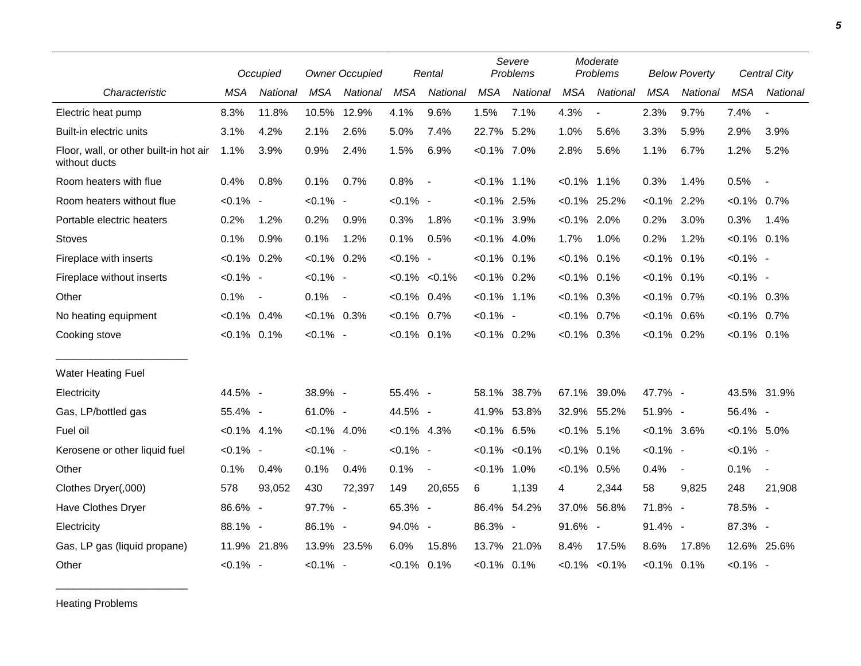|                                                         |                | Occupied                 |                | <b>Owner Occupied</b> |                | Rental              |                | Severe<br>Problems  |                | Moderate<br>Problems |                | <b>Below Poverty</b> |                | <b>Central City</b>      |  |
|---------------------------------------------------------|----------------|--------------------------|----------------|-----------------------|----------------|---------------------|----------------|---------------------|----------------|----------------------|----------------|----------------------|----------------|--------------------------|--|
| Characteristic                                          | <b>MSA</b>     | National                 | <b>MSA</b>     | National              | <b>MSA</b>     | National            | <b>MSA</b>     | National            | <b>MSA</b>     | National             | <b>MSA</b>     | National             | <b>MSA</b>     | National                 |  |
| Electric heat pump                                      | 8.3%           | 11.8%                    | 10.5%          | 12.9%                 | 4.1%           | 9.6%                | 1.5%           | 7.1%                | 4.3%           | $\blacksquare$       | 2.3%           | 9.7%                 | 7.4%           | $\overline{\phantom{a}}$ |  |
| Built-in electric units                                 | 3.1%           | 4.2%                     | 2.1%           | 2.6%                  | 5.0%           | 7.4%                | 22.7% 5.2%     |                     | 1.0%           | 5.6%                 | 3.3%           | 5.9%                 | 2.9%           | 3.9%                     |  |
| Floor, wall, or other built-in hot air<br>without ducts | 1.1%           | 3.9%                     | 0.9%           | 2.4%                  | 1.5%           | 6.9%                | $< 0.1\%$ 7.0% |                     | 2.8%           | 5.6%                 | 1.1%           | 6.7%                 | 1.2%           | 5.2%                     |  |
| Room heaters with flue                                  | 0.4%           | 0.8%                     | 0.1%           | 0.7%                  | 0.8%           | $\blacksquare$      | $< 0.1\%$ 1.1% |                     | $< 0.1\%$ 1.1% |                      | 0.3%           | 1.4%                 | 0.5%           | $\overline{\phantom{a}}$ |  |
| Room heaters without flue                               | $< 0.1\%$ -    |                          | $< 0.1\%$ -    |                       | $< 0.1\%$ -    |                     | $< 0.1\%$ 2.5% |                     |                | $< 0.1\%$ 25.2%      | $< 0.1\%$ 2.2% |                      | $< 0.1\%$ 0.7% |                          |  |
| Portable electric heaters                               | 0.2%           | 1.2%                     | 0.2%           | 0.9%                  | 0.3%           | 1.8%                | $< 0.1\%$ 3.9% |                     | $< 0.1\%$ 2.0% |                      | 0.2%           | 3.0%                 | 0.3%           | 1.4%                     |  |
| <b>Stoves</b>                                           | 0.1%           | 0.9%                     | 0.1%           | 1.2%                  | 0.1%           | 0.5%                | $< 0.1\%$ 4.0% |                     | 1.7%           | 1.0%                 | 0.2%           | 1.2%                 | $< 0.1\%$ 0.1% |                          |  |
| Fireplace with inserts                                  | $< 0.1\%$ 0.2% |                          | $< 0.1\%$ 0.2% |                       | $< 0.1\%$ -    |                     | $< 0.1\%$ 0.1% |                     | $< 0.1\%$      | 0.1%                 | $< 0.1\%$ 0.1% |                      | $< 0.1\%$ -    |                          |  |
| Fireplace without inserts                               | $< 0.1\%$ -    |                          | $< 0.1\%$ -    |                       |                | $< 0.1\%$ $< 0.1\%$ | $< 0.1\%$ 0.2% |                     | $< 0.1\%$ 0.1% |                      | $< 0.1\%$ 0.1% |                      | $< 0.1\%$ -    |                          |  |
| Other                                                   | 0.1%           | $\overline{\phantom{a}}$ | 0.1%           | $\sim$                | $< 0.1\%$ 0.4% |                     | $< 0.1\%$ 1.1% |                     | $<0.1\%$ 0.3%  |                      | $< 0.1\%$ 0.7% |                      | $< 0.1\%$ 0.3% |                          |  |
| No heating equipment                                    | $< 0.1\%$ 0.4% |                          | $< 0.1\%$ 0.3% |                       | $< 0.1\%$ 0.7% |                     | $< 0.1\%$ -    |                     | $< 0.1\%$ 0.7% |                      | $< 0.1\%$ 0.6% |                      | $< 0.1\%$ 0.7% |                          |  |
| Cooking stove                                           | $< 0.1\%$ 0.1% |                          | $< 0.1\%$ -    |                       | $< 0.1\%$ 0.1% |                     | $< 0.1\%$ 0.2% |                     | $<0.1\%$ 0.3%  |                      | $< 0.1\%$ 0.2% |                      | $< 0.1\%$ 0.1% |                          |  |
| Water Heating Fuel                                      |                |                          |                |                       |                |                     |                |                     |                |                      |                |                      |                |                          |  |
| Electricity                                             | 44.5% -        |                          | 38.9% -        |                       | 55.4% -        |                     |                | 58.1% 38.7%         | 67.1%          | 39.0%                | 47.7% -        |                      |                | 43.5% 31.9%              |  |
| Gas, LP/bottled gas                                     | 55.4% -        |                          | 61.0% -        |                       | 44.5% -        |                     |                | 41.9% 53.8%         |                | 32.9% 55.2%          | 51.9% -        |                      | 56.4% -        |                          |  |
| Fuel oil                                                | $< 0.1\%$ 4.1% |                          | $< 0.1\%$ 4.0% |                       | $< 0.1\%$ 4.3% |                     | $< 0.1\%$ 6.5% |                     | $< 0.1\%$ 5.1% |                      | $< 0.1\%$ 3.6% |                      | $< 0.1\%$ 5.0% |                          |  |
| Kerosene or other liquid fuel                           | $< 0.1\%$ -    |                          | $< 0.1\%$ -    |                       | $< 0.1\%$ -    |                     |                | $< 0.1\%$ $< 0.1\%$ | $< 0.1\%$ 0.1% |                      | $< 0.1\%$ -    |                      | $< 0.1\%$ -    |                          |  |
| Other                                                   | 0.1%           | 0.4%                     | 0.1%           | 0.4%                  | 0.1%           | $\blacksquare$      | $< 0.1\%$ 1.0% |                     | $< 0.1\%$      | 0.5%                 | 0.4%           | $\blacksquare$       | 0.1%           | $\sim$                   |  |
| Clothes Dryer(,000)                                     | 578            | 93,052                   | 430            | 72,397                | 149            | 20,655              | 6              | 1,139               | 4              | 2,344                | 58             | 9,825                | 248            | 21,908                   |  |
| Have Clothes Dryer                                      | 86.6% -        |                          | 97.7% -        |                       | 65.3% -        |                     |                | 86.4% 54.2%         | 37.0%          | 56.8%                | 71.8% -        |                      | 78.5% -        |                          |  |
| Electricity                                             | 88.1% -        |                          | 86.1% -        |                       | 94.0% -        |                     | 86.3% -        |                     | 91.6% -        |                      | 91.4% -        |                      | 87.3% -        |                          |  |
| Gas, LP gas (liquid propane)                            |                | 11.9% 21.8%              | 13.9% 23.5%    |                       | 6.0%           | 15.8%               |                | 13.7% 21.0%         | 8.4%           | 17.5%                | 8.6%           | 17.8%                |                | 12.6% 25.6%              |  |
| Other                                                   | $< 0.1\%$ -    |                          | $< 0.1\%$ -    |                       | $< 0.1\%$ 0.1% |                     | $< 0.1\%$ 0.1% |                     |                | $< 0.1\%$ $< 0.1\%$  | $< 0.1\%$ 0.1% |                      | $< 0.1\%$ -    |                          |  |

Heating Problems

\_\_\_\_\_\_\_\_\_\_\_\_\_\_\_\_\_\_\_\_\_\_\_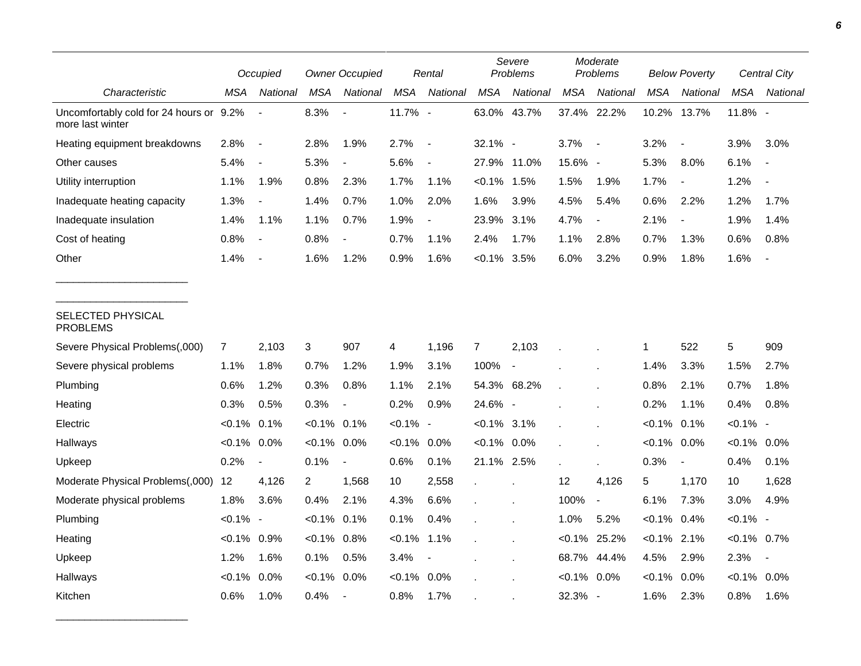|                                                             |                | Occupied                 |                | <b>Owner Occupied</b> |             | Rental                   |                | Severe<br>Problems       |                | Moderate<br>Problems     |                | <b>Below Poverty</b>     |                | <b>Central City</b> |  |
|-------------------------------------------------------------|----------------|--------------------------|----------------|-----------------------|-------------|--------------------------|----------------|--------------------------|----------------|--------------------------|----------------|--------------------------|----------------|---------------------|--|
| Characteristic                                              | MSA            | National                 | <b>MSA</b>     | National              | <b>MSA</b>  | National                 | <b>MSA</b>     | National                 | <b>MSA</b>     | National                 | MSA            | <b>National</b>          | <b>MSA</b>     | National            |  |
| Uncomfortably cold for 24 hours or 9.2%<br>more last winter |                | $\blacksquare$           | 8.3%           | $\overline{a}$        | 11.7% -     |                          | 63.0% 43.7%    |                          |                | 37.4% 22.2%              | 10.2%          | 13.7%                    | 11.8% -        |                     |  |
| Heating equipment breakdowns                                | 2.8%           | $\overline{\phantom{a}}$ | 2.8%           | 1.9%                  | 2.7%        | $\overline{\phantom{a}}$ | 32.1% -        |                          | 3.7%           | $\overline{\phantom{a}}$ | 3.2%           | $\overline{\phantom{a}}$ | 3.9%           | 3.0%                |  |
| Other causes                                                | 5.4%           | $\overline{\phantom{a}}$ | 5.3%           |                       | 5.6%        | $\overline{\phantom{a}}$ | 27.9% 11.0%    |                          | 15.6% -        |                          | 5.3%           | 8.0%                     | 6.1%           |                     |  |
| Utility interruption                                        | 1.1%           | 1.9%                     | 0.8%           | 2.3%                  | 1.7%        | 1.1%                     | $< 0.1\%$      | 1.5%                     | 1.5%           | 1.9%                     | 1.7%           | $\overline{\phantom{a}}$ | 1.2%           |                     |  |
| Inadequate heating capacity                                 | 1.3%           | $\overline{\phantom{a}}$ | 1.4%           | 0.7%                  | 1.0%        | 2.0%                     | 1.6%           | 3.9%                     | 4.5%           | 5.4%                     | 0.6%           | 2.2%                     | 1.2%           | 1.7%                |  |
| Inadequate insulation                                       | 1.4%           | 1.1%                     | 1.1%           | 0.7%                  | 1.9%        | $\overline{\phantom{a}}$ | 23.9%          | 3.1%                     | 4.7%           | $\blacksquare$           | 2.1%           | $\overline{\phantom{a}}$ | 1.9%           | 1.4%                |  |
| Cost of heating                                             | 0.8%           | $\overline{\phantom{a}}$ | 0.8%           |                       | 0.7%        | 1.1%                     | 2.4%           | 1.7%                     | 1.1%           | 2.8%                     | 0.7%           | 1.3%                     | 0.6%           | 0.8%                |  |
| Other                                                       | 1.4%           | $\blacksquare$           | 1.6%           | 1.2%                  | 0.9%        | 1.6%                     | $< 0.1\%$ 3.5% |                          | 6.0%           | 3.2%                     | 0.9%           | 1.8%                     | 1.6%           |                     |  |
| SELECTED PHYSICAL<br><b>PROBLEMS</b>                        |                |                          |                |                       |             |                          |                |                          |                |                          |                |                          |                |                     |  |
| Severe Physical Problems(,000)                              | $\mathbf{7}$   | 2,103                    | 3              | 907                   | 4           | 1,196                    | 7              | 2,103                    |                |                          | 1              | 522                      | $\sqrt{5}$     | 909                 |  |
| Severe physical problems                                    | 1.1%           | 1.8%                     | 0.7%           | 1.2%                  | 1.9%        | 3.1%                     | 100%           | $\overline{\phantom{a}}$ |                |                          | 1.4%           | 3.3%                     | 1.5%           | 2.7%                |  |
| Plumbing                                                    | 0.6%           | 1.2%                     | 0.3%           | 0.8%                  | 1.1%        | 2.1%                     |                | 54.3% 68.2%              |                |                          | 0.8%           | 2.1%                     | 0.7%           | 1.8%                |  |
| Heating                                                     | 0.3%           | 0.5%                     | 0.3%           |                       | 0.2%        | 0.9%                     | 24.6% -        |                          |                |                          | 0.2%           | 1.1%                     | 0.4%           | 0.8%                |  |
| Electric                                                    | $< 0.1\%$ 0.1% |                          | $< 0.1\%$ 0.1% |                       | $< 0.1\%$ - |                          | $< 0.1\%$ 3.1% |                          |                |                          | $< 0.1\%$      | 0.1%                     | $< 0.1\%$ -    |                     |  |
| Hallways                                                    | $< 0.1\%$      | $0.0\%$                  | $< 0.1\%$      | $0.0\%$               | $< 0.1\%$   | 0.0%                     | $< 0.1\%$ 0.0% |                          |                |                          | $< 0.1\%$ 0.0% |                          | $< 0.1\%$ 0.0% |                     |  |
| Upkeep                                                      | 0.2%           | $\overline{\phantom{a}}$ | 0.1%           | $\blacksquare$        | 0.6%        | 0.1%                     | 21.1% 2.5%     |                          |                |                          | 0.3%           | $\blacksquare$           | 0.4%           | 0.1%                |  |
| Moderate Physical Problems(,000)                            | 12             | 4,126                    | $\overline{2}$ | 1,568                 | 10          | 2,558                    | $\mathbf{r}$   |                          | 12             | 4,126                    | 5              | 1,170                    | 10             | 1,628               |  |
| Moderate physical problems                                  | 1.8%           | 3.6%                     | 0.4%           | 2.1%                  | 4.3%        | 6.6%                     |                |                          | 100%           | $\blacksquare$           | 6.1%           | 7.3%                     | 3.0%           | 4.9%                |  |
| Plumbing                                                    | $< 0.1\%$ -    |                          | $< 0.1\%$      | 0.1%                  | 0.1%        | 0.4%                     |                |                          | 1.0%           | 5.2%                     | $< 0.1\%$      | 0.4%                     | $< 0.1\%$ -    |                     |  |
| Heating                                                     | $< 0.1\%$ 0.9% |                          | $< 0.1\%$      | 0.8%                  | $< 0.1\%$   | 1.1%                     |                |                          |                | $< 0.1\%$ 25.2%          | $< 0.1\%$ 2.1% |                          | $< 0.1\%$ 0.7% |                     |  |
| Upkeep                                                      | 1.2%           | 1.6%                     | 0.1%           | 0.5%                  | 3.4%        | $\overline{\phantom{a}}$ |                |                          | 68.7%          | 44.4%                    | 4.5%           | 2.9%                     | 2.3%           | $\blacksquare$      |  |
| Hallways                                                    | $< 0.1\%$      | 0.0%                     | $< 0.1\%$      | 0.0%                  | $< 0.1\%$   | 0.0%                     |                |                          | $< 0.1\%$ 0.0% |                          | $< 0.1\%$      | 0.0%                     | $< 0.1\%$ 0.0% |                     |  |
| Kitchen                                                     | 0.6%           | 1.0%                     | 0.4%           |                       | 0.8%        | 1.7%                     |                |                          | 32.3% -        |                          | 1.6%           | 2.3%                     | 0.8%           | 1.6%                |  |

\_\_\_\_\_\_\_\_\_\_\_\_\_\_\_\_\_\_\_\_\_\_\_